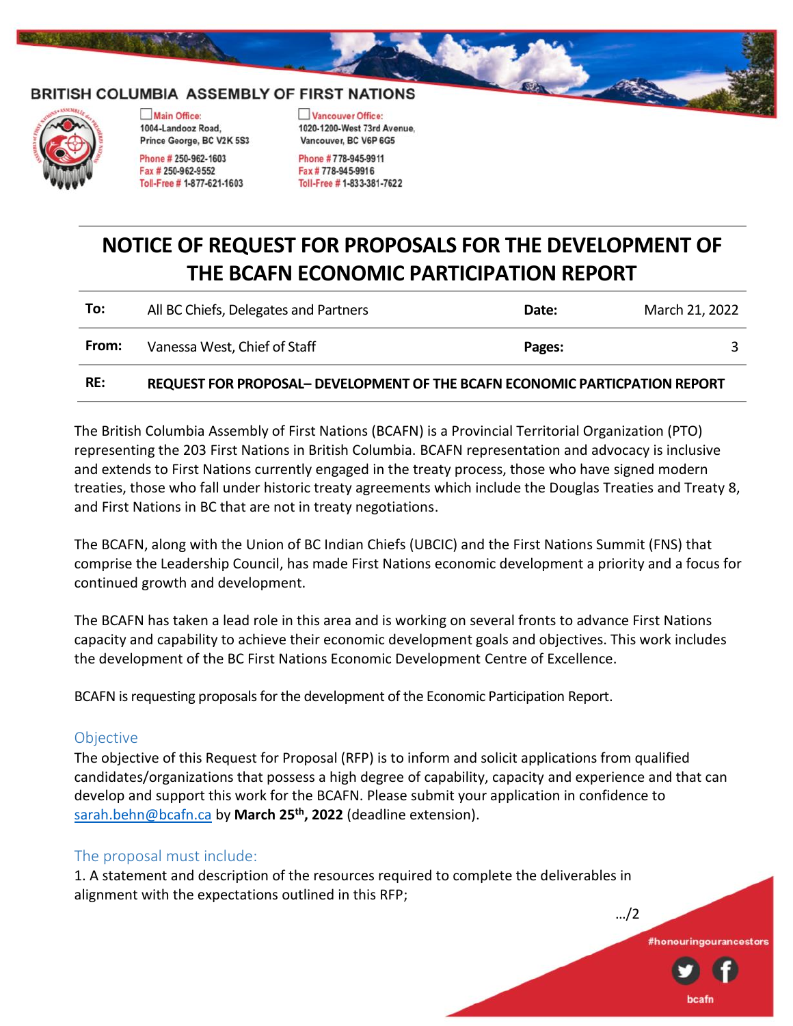#### BRITISH COLUMBIA ASSEMBLY OF FIRST NATIONS



Main Office: 1004-Landooz Road. Prince George, BC V2K 5S3

Phone # 250-962-1603 Fax # 250-962-9552 Toll-Free #1-877-621-1603 Vancouver Office: 1020-1200-West 73rd Avenue. Vancouver, BC V6P 6G5

Phone #778-945-9911 Fax #778-945-9916 Toll-Free # 1-833-381-7622

# **NOTICE OF REQUEST FOR PROPOSALS FOR THE DEVELOPMENT OF THE BCAFN ECONOMIC PARTICIPATION REPORT**

| RE:   | REQUEST FOR PROPOSAL- DEVELOPMENT OF THE BCAFN ECONOMIC PARTICPATION REPORT |        |                |
|-------|-----------------------------------------------------------------------------|--------|----------------|
| From: | Vanessa West, Chief of Staff                                                | Pages: |                |
| To:   | All BC Chiefs, Delegates and Partners                                       | Date:  | March 21, 2022 |

The British Columbia Assembly of First Nations (BCAFN) is a Provincial Territorial Organization (PTO) representing the 203 First Nations in British Columbia. BCAFN representation and advocacy is inclusive and extends to First Nations currently engaged in the treaty process, those who have signed modern treaties, those who fall under historic treaty agreements which include the Douglas Treaties and Treaty 8, and First Nations in BC that are not in treaty negotiations.

The BCAFN, along with the Union of BC Indian Chiefs (UBCIC) and the First Nations Summit (FNS) that comprise the Leadership Council, has made First Nations economic development a priority and a focus for continued growth and development.

The BCAFN has taken a lead role in this area and is working on several fronts to advance First Nations capacity and capability to achieve their economic development goals and objectives. This work includes the development of the BC First Nations Economic Development Centre of Excellence.

BCAFN is requesting proposals for the development of the Economic Participation Report.

#### **Objective**

The objective of this Request for Proposal (RFP) is to inform and solicit applications from qualified candidates/organizations that possess a high degree of capability, capacity and experience and that can develop and support this work for the BCAFN. Please submit your application in confidence to [sarah.behn@bcafn.ca](mailto:sarah.behn@bcafn.ca) by **March 25th, 2022** (deadline extension).

#honouringourancestors

#### The proposal must include:

1. A statement and description of the resources required to complete the deliverables in alignment with the expectations outlined in this RFP;

…/2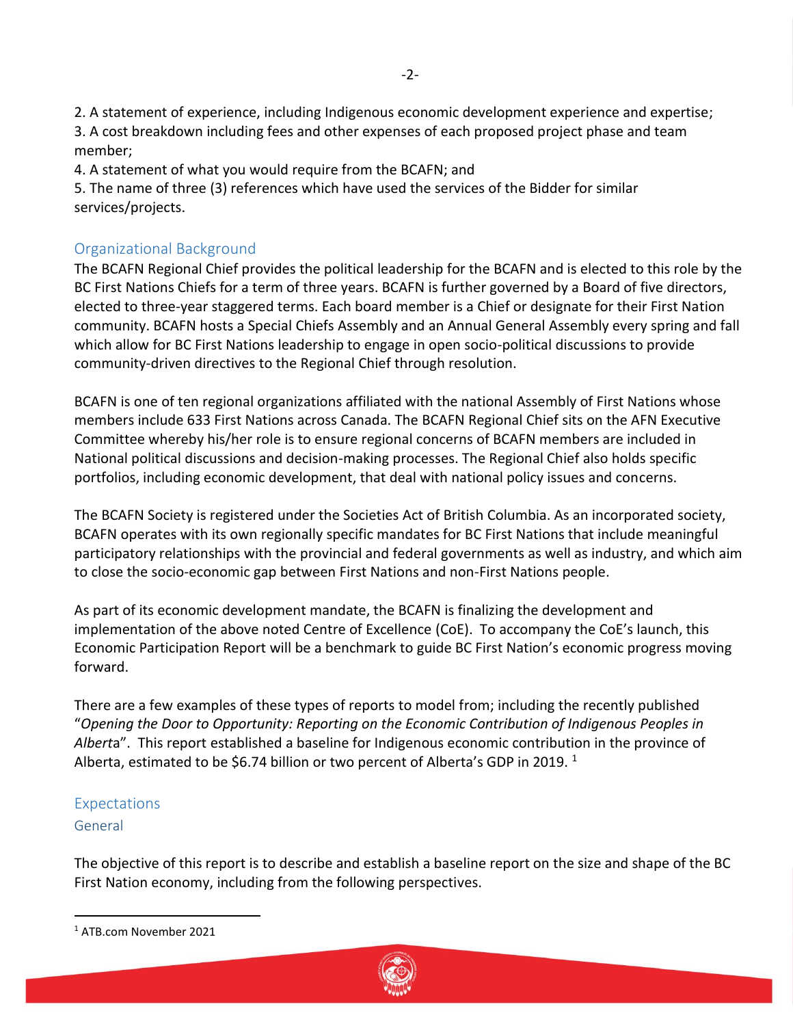2. A statement of experience, including Indigenous economic development experience and expertise; 3. A cost breakdown including fees and other expenses of each proposed project phase and team member;

4. A statement of what you would require from the BCAFN; and

5. The name of three (3) references which have used the services of the Bidder for similar services/projects.

# Organizational Background

The BCAFN Regional Chief provides the political leadership for the BCAFN and is elected to this role by the BC First Nations Chiefs for a term of three years. BCAFN is further governed by a Board of five directors, elected to three-year staggered terms. Each board member is a Chief or designate for their First Nation community. BCAFN hosts a Special Chiefs Assembly and an Annual General Assembly every spring and fall which allow for BC First Nations leadership to engage in open socio-political discussions to provide community-driven directives to the Regional Chief through resolution.

BCAFN is one of ten regional organizations affiliated with the national Assembly of First Nations whose members include 633 First Nations across Canada. The BCAFN Regional Chief sits on the AFN Executive Committee whereby his/her role is to ensure regional concerns of BCAFN members are included in National political discussions and decision-making processes. The Regional Chief also holds specific portfolios, including economic development, that deal with national policy issues and concerns.

The BCAFN Society is registered under the Societies Act of British Columbia. As an incorporated society, BCAFN operates with its own regionally specific mandates for BC First Nations that include meaningful participatory relationships with the provincial and federal governments as well as industry, and which aim to close the socio-economic gap between First Nations and non-First Nations people.

As part of its economic development mandate, the BCAFN is finalizing the development and implementation of the above noted Centre of Excellence (CoE). To accompany the CoE's launch, this Economic Participation Report will be a benchmark to guide BC First Nation's economic progress moving forward.

There are a few examples of these types of reports to model from; including the recently published "*Opening the Door to Opportunity: Reporting on the Economic Contribution of Indigenous Peoples in Albert*a". This report established a baseline for Indigenous economic contribution in the province of Alberta, estimated to be \$6.74 billion or two percent of Alberta's GDP in 2019.  $^1$ 

# Expectations

#### General

The objective of this report is to describe and establish a baseline report on the size and shape of the BC First Nation economy, including from the following perspectives.



<sup>1</sup> ATB.com November 2021